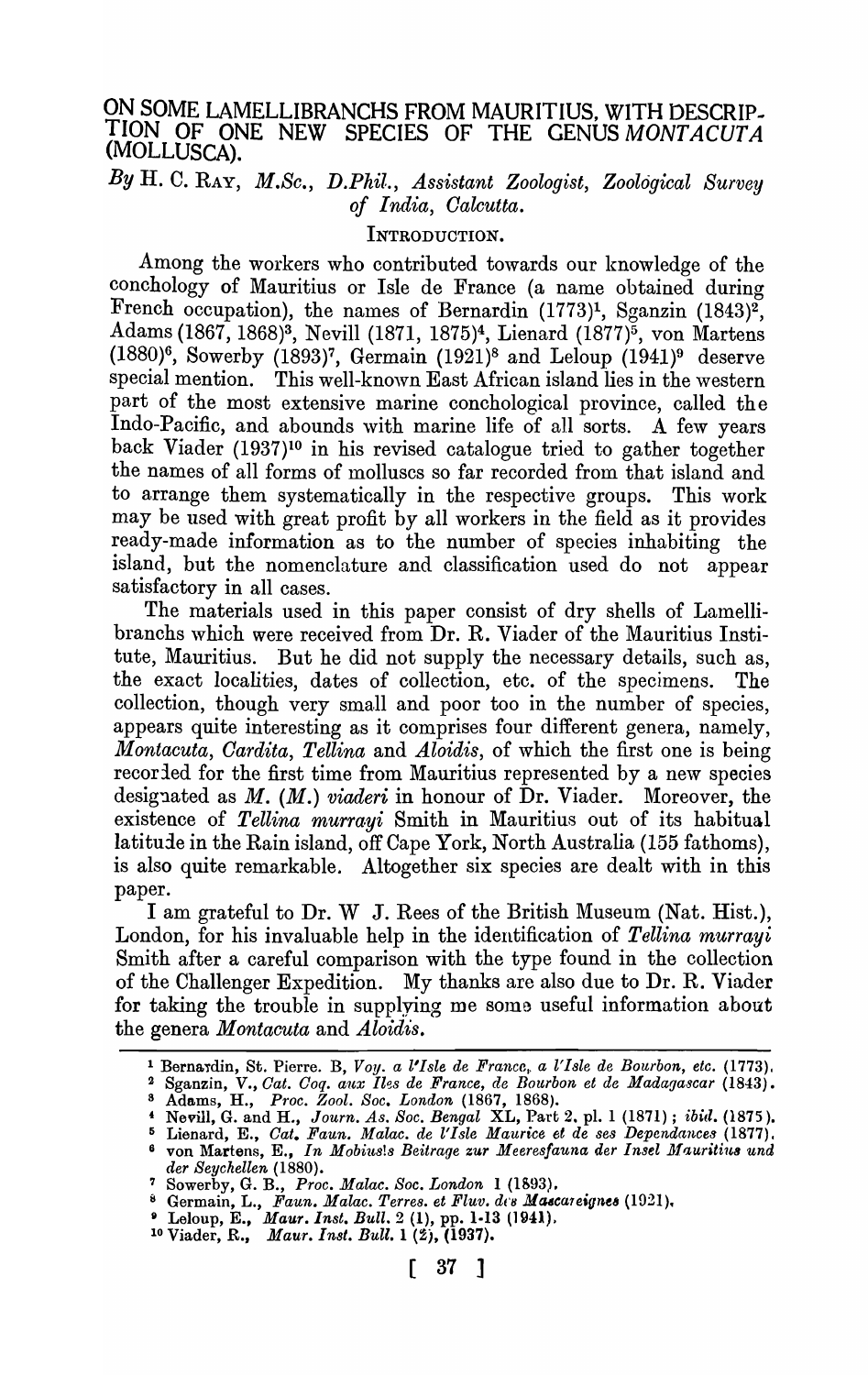# ON SOME LAMELLIBRANCHS FROM MAURITIUS, WITH DESCRIP-TION OF ONE NEW SPECIES OF THE GENUS MONTACUTA (MOLLUSCA).

By H. C. RAY, *M.Sc.,* D.Phil., *Assistant Zoologist, Zoological Survey of India, Oalcutta.* 

## INTRODUCTION.

Among the workers who contributed towards our knowledge of the conchology of Mauritius or Isle de France (a name obtained during French occupation), the names of Bernardin  $(1773)^1$ , Sganzin  $(1843)^2$ , Adams (1867, 1868)<sup>3</sup>, Nevill (1871, 1875)<sup>4</sup>, Lienard (1877)<sup>5</sup>, von Martens  $(1880)^6$ , Sowerby  $(1893)^7$ , Germain  $(1921)^8$  and Leloup  $(1941)^9$  deserve special mention. This well-known East African island lies in the western part of the most extensive marine conchological province, called the Indo-Pacific, and abounds with marine life of all sorts. A few years back Viader (1937)10 in his revised catalogue tried to gather together the names of all forms of molluscs so far recorded from that island and to arrange them systematically in the respective groups. This work may be used with great profit by all workers in the field as it provides ready-made information as to the number of species inhabiting the island, but the nomenclature and classification used do not appear satisfactory in all cases.

The materials used in this paper consist of dry shells of Lamellibranchs which were received from Dr. R. Viader of the Mauritius Institute, Mauritius. But he did not supply the necessary details, such as, the exact localities, dates of collection, etc. of the specimens. The collection, though very small and poor too in the number of species, appears quite interesting as it comprises four different genera, namely, *Montacuta, Cardita, Tellina* and *Aloidis,* of which the first one is being recorded for the first time from Mauritius represented by a new species designated as *M.* (*M.*) viaderi in honour of Dr. Viader. Moreover, the existence of *Tellina murrayi* Smith in Mauritius out of its habitual latitude in the Rain island, off Cape York, North Australia (155 fathoms), is also quite remarkable. Altogether six species are dealt with in this paper.

I am grateful to Dr. W J. Rees of the British Museum (Nat. Hist.), London, for his invaluable help in the identification of *Tellina murrayi*  Smith after a careful comparison with the type found in the collection of the Challenger Expedition. My thanks are also due to Dr. R. Viader for taking the trouble in supplying me some useful information about the genera *Montacuta* and *Aloidis.* 

<sup>&</sup>lt;sup>1</sup> Bernardin, St. Pierre. B, *Voy. a l'Isle de France*, a l'Isle de Bourbon, etc. (1773).

<sup>&</sup>lt;sup>2</sup> Sganzin, V., *Cat. Coq. aux Iles de France*, de Bourbon et de Madagascar (1843).

<sup>&</sup>lt;sup>3</sup> Adams, H., *Proc. Zool. Soc. London* (1867, 1868).

<sup>•</sup> Nevill, G. and H., *Journ. As. Soc. Bengal* XL, Part 2. pI. 1 (1871); *ibid.* (1875).

<sup>5</sup> Lienard, E., *Gat. Faun. Malac. de l'Isle Maurice et de ses Dependances* (1877). <sup>6</sup> von Martens, E., *In Mobius!s Beitrage zur Meeresfauna der Insel Mauritius und der Seychellen* (1880).

<sup>7</sup> Sowerby, G. B., *Proc. Malac. Soc. London* I (lS93).

<sup>&</sup>lt;sup>8</sup> Germain, L., *Faun. Malac. Terres. et Fluv. des Mascareignes* (1921).

<sup>8</sup> Leloup, E., *Maur.inst. Bull.* 2 (1), pp. 1·13 (1941).

<sup>&</sup>lt;sup>10</sup> Viader, R., *Maur. Inst. Bull.* 1 (2), (1937).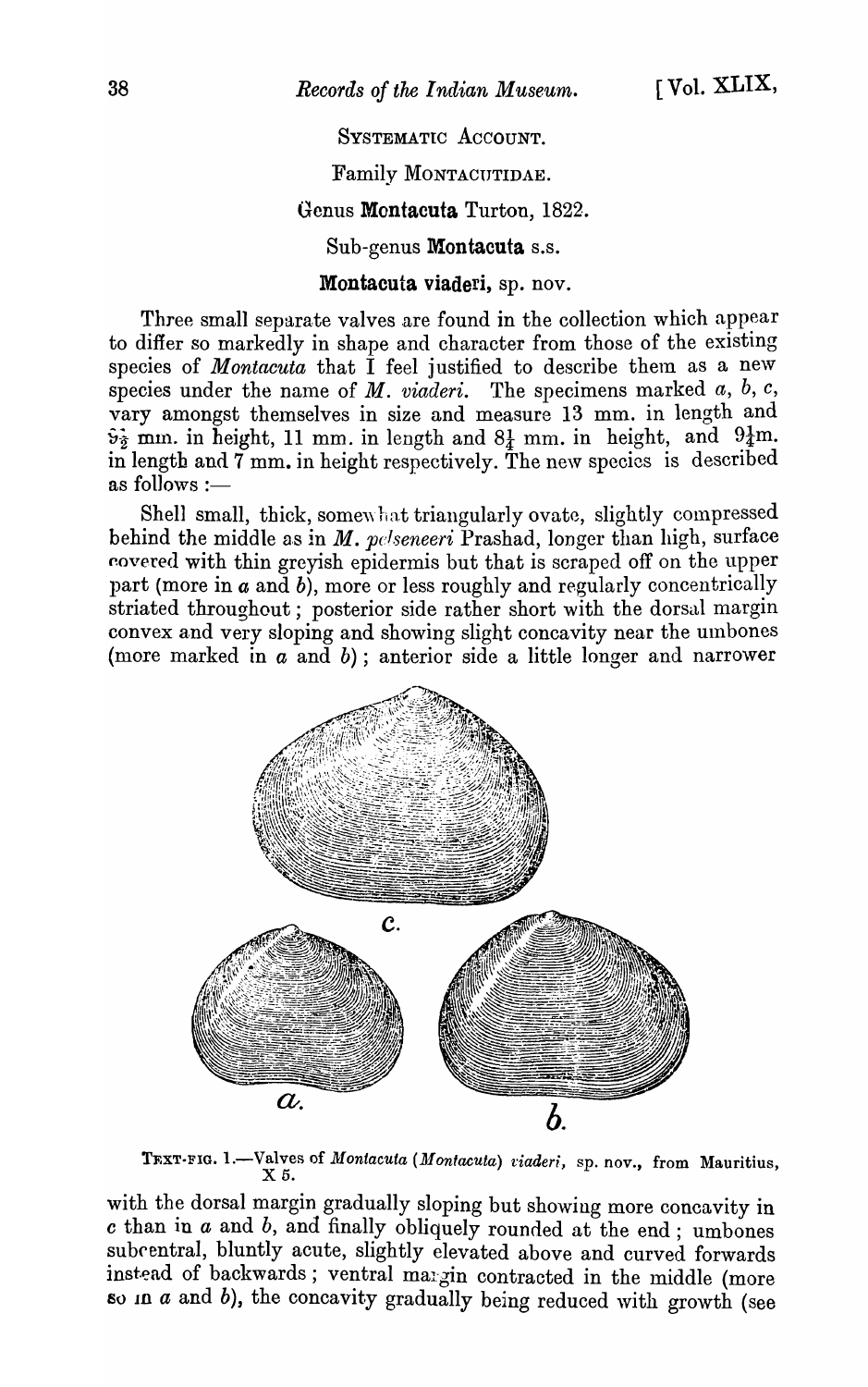## SYSTEMATIC ACCOUNT.

## Family MONTACUTIDAE.

#### Genus Montacuta Turton, 1822.

Sub-genus Montacuta s.s.

# Montacuta viaderi, sp. nov.

Three small separate valves are found in the collection which appear to differ so markedly in shape and character from those of the existing species of *Montacuta* that I feel justified to describe them as a new species under the name of  $M.$  *viaderi*. The specimens marked  $a, b, c$ , vary amongst themselves in size and measure 13 mm. in length and  $\hat{\mathbf{v}}_{\hat{\mathbf{\tau}}}$  mm. in height, 11 mm. in length and  $\mathcal{S}_{\mathbf{\tau}}$  mm. in height, and  $\mathcal{G}_{\mathbf{\tau}}$ m. in length and  $\bar{7}$  mm. in height respectively. The new species is described as follows :-

Shell small, thick, somewhat triangularly ovate, slightly compressed behind the middle as in  $M$ . *pclseneeri* Prashad, longer than high, surface covered with thin greyish epidermis but that is scraped off on the upper part (more in  $a$  and  $b$ ), more or less roughly and regularly concentrically striated throughout; posterior side rather short with the dorsal margin convex and very sloping and showing slight concavity near the umbones (more marked in  $a$  and  $b$ ); anterior side a little longer and narrower



TEXT-FIG. 1.—Valves of Montacuta (Montacuta) viaderi, sp. nov., from Mauritius,  $X$  5.

with the dorsal margin gradually sloping but showing more concavity in  $c$  than in  $a$  and  $b$ , and finally obliquely rounded at the end; umbones subrentral, bluntly acute, slightly elevated above and curved forwards instead of backwards; ventral margin contracted in the middle (more so in  $a$  and  $b$ ), the concavity gradually being reduced with growth (see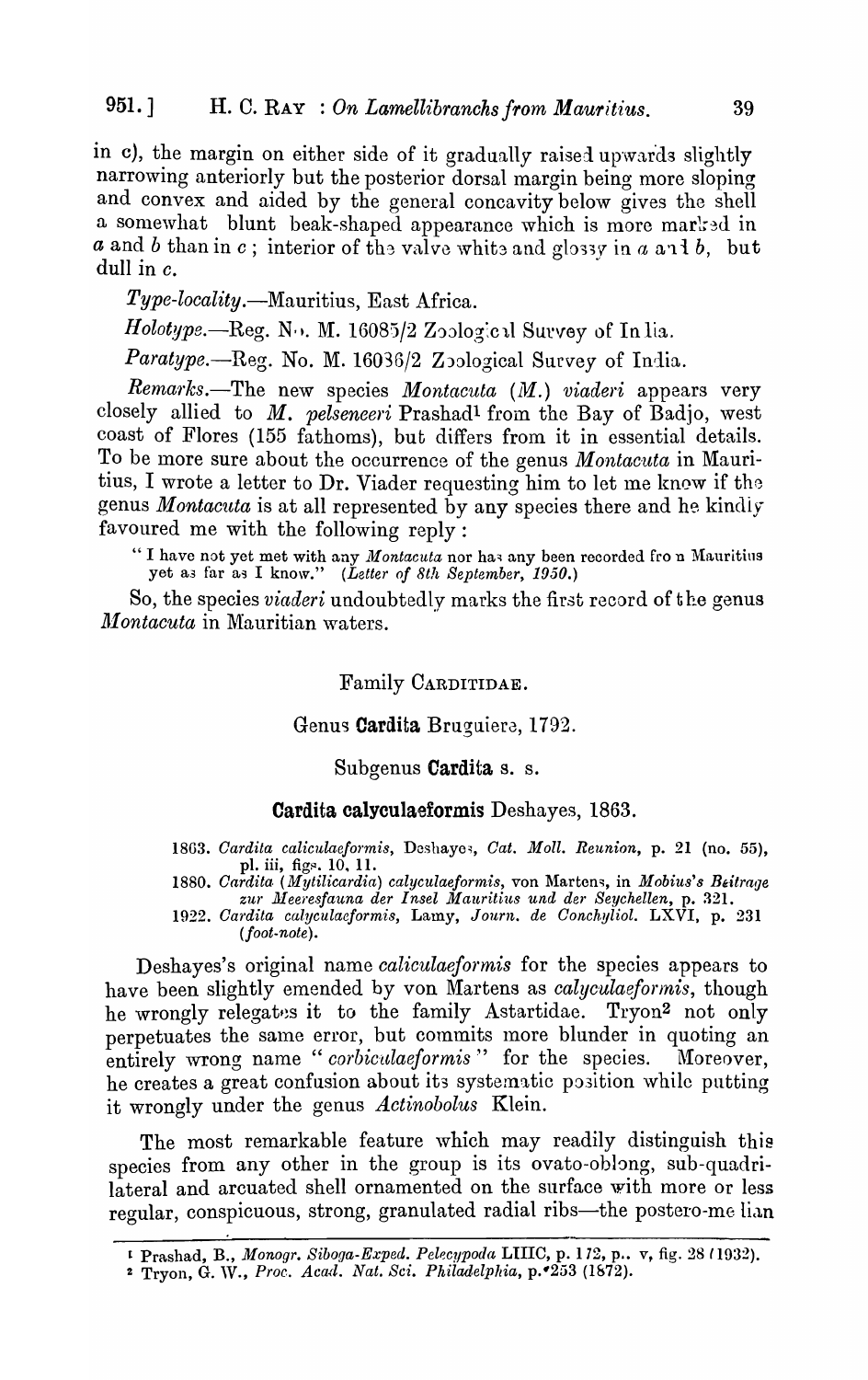in c), the margin on either side of it gradually raised upwards slightly narrowing anteriorly but the posterior dorsal margin being more sloping and convex and aided by the general concavity below gives the shell a somewhat blunt beak-shaped appearance which is more marlied in a and b than in c; interior of the valve white and glossy in  $a$  and b, but dull in  $c$ .

*Type-locality.-Mauritius,* East Africa.

*Holotype.*—Reg. N<sub>1</sub>. M. 16085/2 Zoological Survey of India.

 $Paratype. -Reg.$  No. M. 16036/2 Zoological Survey of India.

Remarks.-The new species *Montacuta (M.) viaderi* appears very closely allied to *M. pelseneeri* Prashad<sup>1</sup> from the Bay of Badjo, west coast of Flores (155 fathoms), bub differs from it in essential details. To be more sure about the occurrence of the genus *Montacuta* in Mauritius, I wrote a letter to Dr. Viader requesting him to let me know if the genus *Montacuta* is at all represented by any species there and he kindly favoured me with the following reply:

" I have not yet met with any *Montacuta* nor has any been recorded fro n Mauritius yet as far as I know." *(Letter of 8th September, 1950.)* 

So, the species *viaderi* undoubtedly marks the first record of the genus *Montacuta* in Mauritian waters.

Family CARDITIDAE.

# Genug Cardita Bruguiera, 1792.

Subgenus Cardita s. s.

Cardita calyculaeformis Deshayes, 1863.

*1863. Oardita caliculaeJormis,* Deshaye;;, *Oat. Moll. Reunion,* p. 21 (no. 55), pl. iii, figs. 10, 11.

1880. *Cardita (Mytilicardia) calyculaeformis,* von Martens, in *Mobius's Beitrage* zur Meeresfauna der Insel Mauritius und der Seychellen, p. 321.

*1922. Oardita calyculacformis,* Lamy, *Journ. de Conchyliol.* LXVI, p. 231 *(foot-note) .* 

Deshayes's original name *caliculaeformis* for the species appears to have been slightly emended by von Martens as *calyculaeformis*, though he wrongly relegates it to the family Astartidae. Tryon<sup>2</sup> not only perpetuates the same error, but commits more blunder in quoting an entirely wrong name "corbiculaeformis" for the species. Moreover, he creates a great confusion about its systematic position while putting it wrongly under the genus *Actinobolus* Klein.

The most remarkable feature which may readily distinguish this species from any other in the group is its ovato-oblong, sub-quadrilateral and arcuated shell ornamented on the surface with more or less regular, conspicuous, strong, granulated radial ribs-the postero-me lian

<sup>&</sup>lt;sup>t</sup> Prashad, B., *Monogr. Siboga-Exped. Pelecypoda LIIIC*, p. 172, p., v, fig. 28 (1932).

<sup>&</sup>lt;sup>2</sup> Tryon, G. W., Proc. Acad. Nat. Sci. Philadelphia, p. 253 (1872).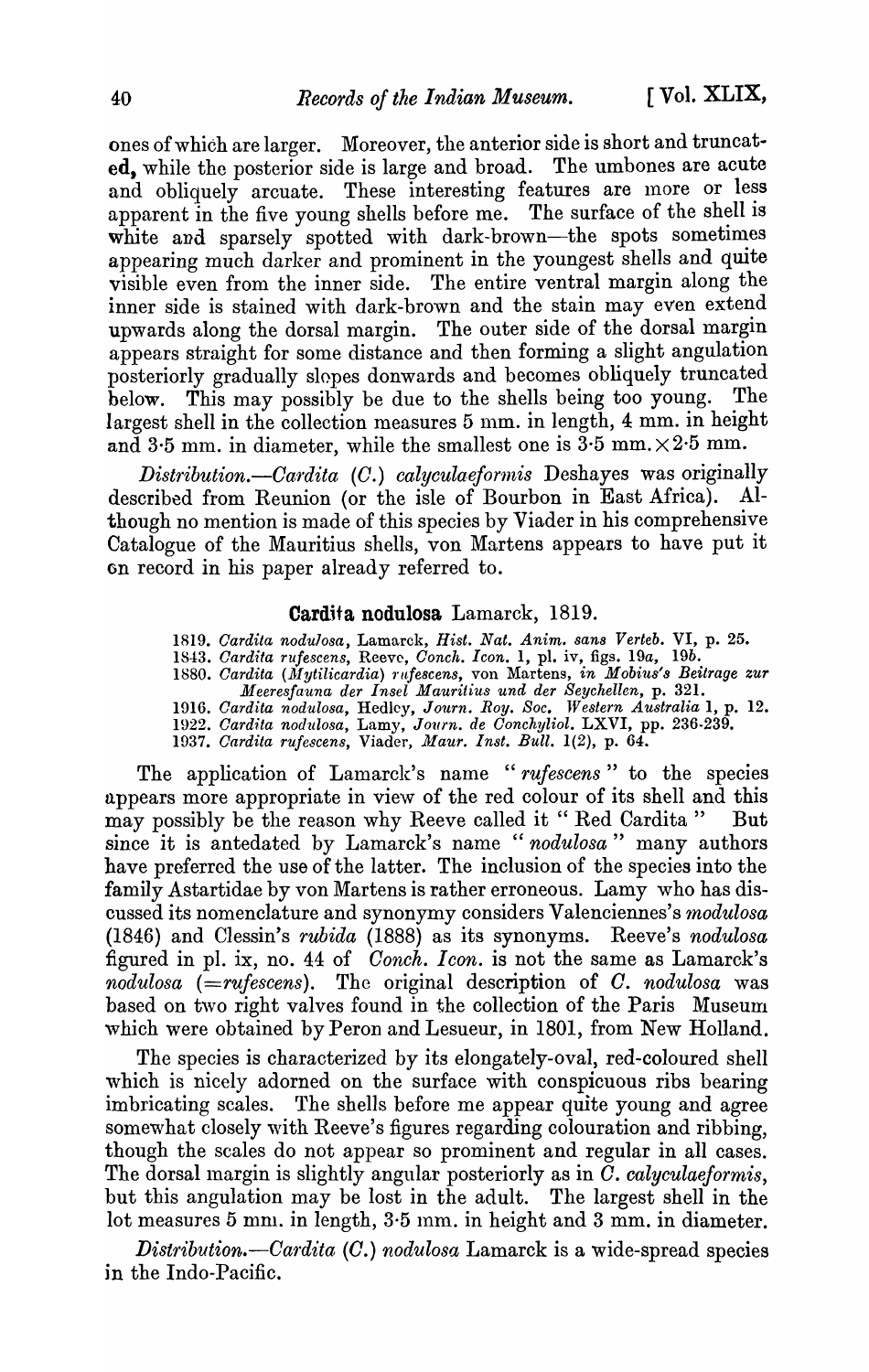ones of which are larger. Moreover, the anterior side is short and truncated, while the posterior side is large and broad. The umbones are acute and obliquely arcuate. These interesting features are more or less apparent in the five young shells before me. The surface of the shell is white and sparsely spotted with dark-brown-the spots sometimes appearing much darker and prominent in the youngest shells and quite visible even from the inner side. The entire ventral margin along the inner side is stained with dark-brown and the stain may even extend upwards along the dorsal margin. The outer side of the dorsal margin appears straight for some distance and then forming a slight angulation posteriorly gradually slopes donwards and becomes obliquely truncated<br>helow This may possibly be due to the shells being too young. The below. This may possibly be due to the shells being too young. largest shell in the collection measures 5 mm. in length, 4 mm. in height and 3.5 mm. in diameter, while the smallest one is  $3.5$  mm.  $\times 2.5$  mm.

Distribution.-Cardita (C.) calyculaeformis Deshayes was originally described from Reunion (or the isle of Bourbon in East Africa). though no mention is made of this species by Viader in his comprehensive Catalogue of the Mauritius shells, von Martens appears to have put it on record in his paper already referred to.

#### Cardjta nodulosa Lamarck, 1819.

*1819. Cardita nodulosa,* Lamarck, *Hist. Nat. Anim. sans Verteb.* VI, p. 25.

*18-13. Cardifa rufescens,* Reeve, *Conch. Icon.* 1, pl. iv, figs. *19a, 19b.* 

1880. Cardita (Mytilicardia) rufescens, von Martens, *in Mobius's Beitrage zur M eeresfauna der I nsel M auritiu8 und der Seychellen,* p. 321.

*1916. Cardita nodulosa,* Hedley, *Jo'ltrn. Roy. Soc. JVestern Australia* I, p. 12.

*1922. Gardita nodulosa,* Lamy, *Jo'Urn. de Oonchyliol.* LXVI, pp. 236~239.

*1937. Cardita rujescens,* Viader, *Maur. Inst. Bull.* 1(2), p. 64.

The application of Lamarck's name *"ruJescens"* to the species appears more appropriate in view of the red colour of its shell and this may possibly be the reason why Reeve called it " Red Cardita " But since it is antedated by Lamarck's name "*nodulosa*" many authors have preferred the use of the latter. The inclusion of the species into the family Astartidae by von Martens is rather erroneous. Lamy who has discussed its nomenclature and synonymy considers Valenciennes's *modulosa*  (1846) and Clessin's *rub ida* (1888) as its synonyms. Reeve's *nodulosa*  figured in pl. ix, no. 44 of *Conch. Icon.* is not the same as Lamarck's *nodulosa (=ruJescens).* The original description of *G. nodulosa* was based on two right valves found in the collection of the Paris Museum which were obtained by Peron and Lesueur, in 1801, from New Holland.

The species is characterized by its elongately-oval, red-coloured shell which is nicely adorned on the surface with conspicuous ribs bearing imbricating scales. The shells before me appear quite young and agree somewhat closely with Reeve's figures regarding colouration and ribbing, though the scales do not appear so prominent and regular in all cases. The dorsal margin is slightly angular posteriorly as in  $\ddot{C}$ . *calyculaeformis*, but this angulation may be lost in the adult. The largest shell in the lot measures 5 mm. in length, 3.5 mm. in height and 3 mm. in diameter.

*Dist'ribution.-Cardita (0.) nodulosa* Lamarck is a wide-spread species in the Indo-Pacific.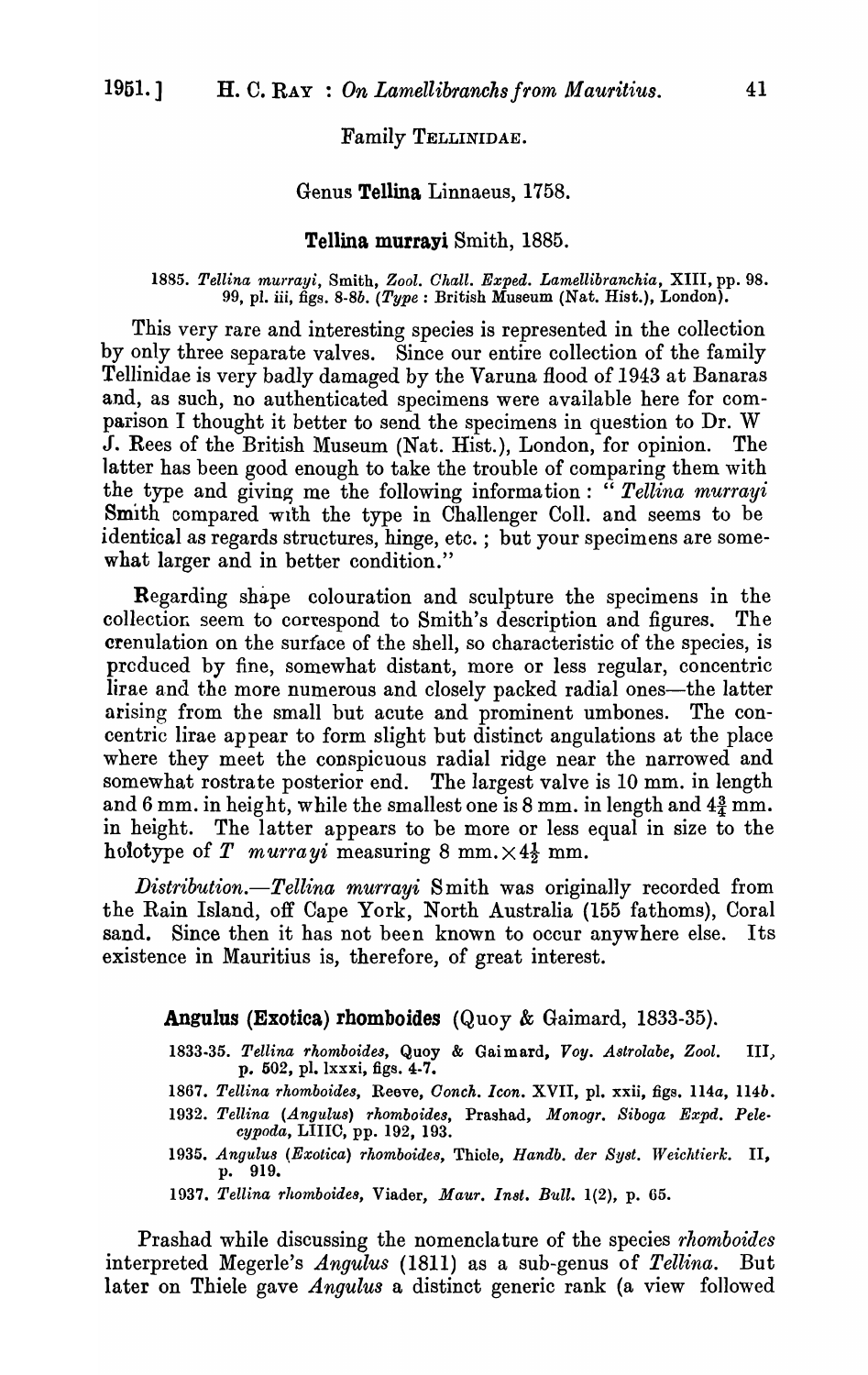#### Family TELLINIDAE.

#### Genus Tellina Linnaeus, 1758.

## Tellina murrayi Smith, 1885.

*1885. Tellina murrayi,* Smith, *Zool. Chall. Exped. Lamellibranchia,* XIII, pp. 98. 99, pl. iii, figs. *8-8b. (Type:* British Museum (Nat. Hist.), London).

This very rare and interesting species is represented in the collection by only three separate valves. Since our entire collection of the family Tellinidae is very badly damaged by the Varuna flood of 1943 at Banaras and, as such, no authenticated specimens were available here for comparison I thought it better to send the specimens in question to Dr. W J. Rees of the British Museum (Nat. Hist.), London, for opinion. The latter has been good enough to take the trouble of comparing them with the type and giving me the following information:  $\ddot{r}$  Tellina murrayi Smith compared with the type in Challenger Coll. and seems to be identical as regards structures, hinge, etc. ; but your specimens are somewhat larger and in better condition."

Regarding shape colouration and sculpture the specimens in the collection seem to correspond to Smith's description and figures. The crenulation on the surface of the shell, so characteristic of the species, is produced by fine, somewhat distant, more or less regular, concentric lirae and the more numerous and closely packed radial ones—the latter arising from the small but acute and prominent umbones. The concentric lirae appear to form slight but distinct angulations at the place where they meet the conspicuous radial ridge near the narrowed and somewhat rostrate posterior end. The largest valve is 10 mm. in length and 6 mm. in height, while the smallest one is 8 mm. in length and  $4\frac{3}{4}$  mm. in height. The latter appears to be more or less equal in size to the holotype of *T* murrayi measuring 8 mm.  $\times$  4 $\frac{1}{2}$  mm.

*Distribution.-Tellina murrayi* Smith was originally recorded from the Rain Island, off Cape York, North Australia (155 fathoms), Coral sand. Since then it has not been known to occur anywhere else. Its existence in Mauritius is, therefore, of great interest.

#### Angulus (Exotica) rhomboides (Quoy & Gaimard, 1833-35).

- *1833·35. Tellina rhomboides,* Quoy & Gai mard, *Voy. Astrolabe, Zool. III)*  p. 502, pl. lxxxi, figs. 4-7.
- *1867. Tellina rltomboides,* Reeve, *Conch. Icon.* XVII, pl. xxii, figs. 114a, *114b.*
- *1932. Tellina (Angulus) rhomboides,* Prashad, *Monogr. Biboga Expd. Pele· cypoda,* LIllO, pp. 192, 193.
- *1935. Angulus (Exotica) rhomboide8,* Thiele, *Handb. der Byst. lVeiclttierk. II,*  p. 919.
- *1937. Tellina rhomboides,* Viader, *Maur. [n8t.* Bull. 1(2), p. 65.

Prashad while discussing the nomenclature of the species *rhomboides*  interpreted Megerle's *Angulus* (1811) as a sub-genus of *Tellina.* But later on Thiele gave *Angulus* a distinct generic rank (a view followed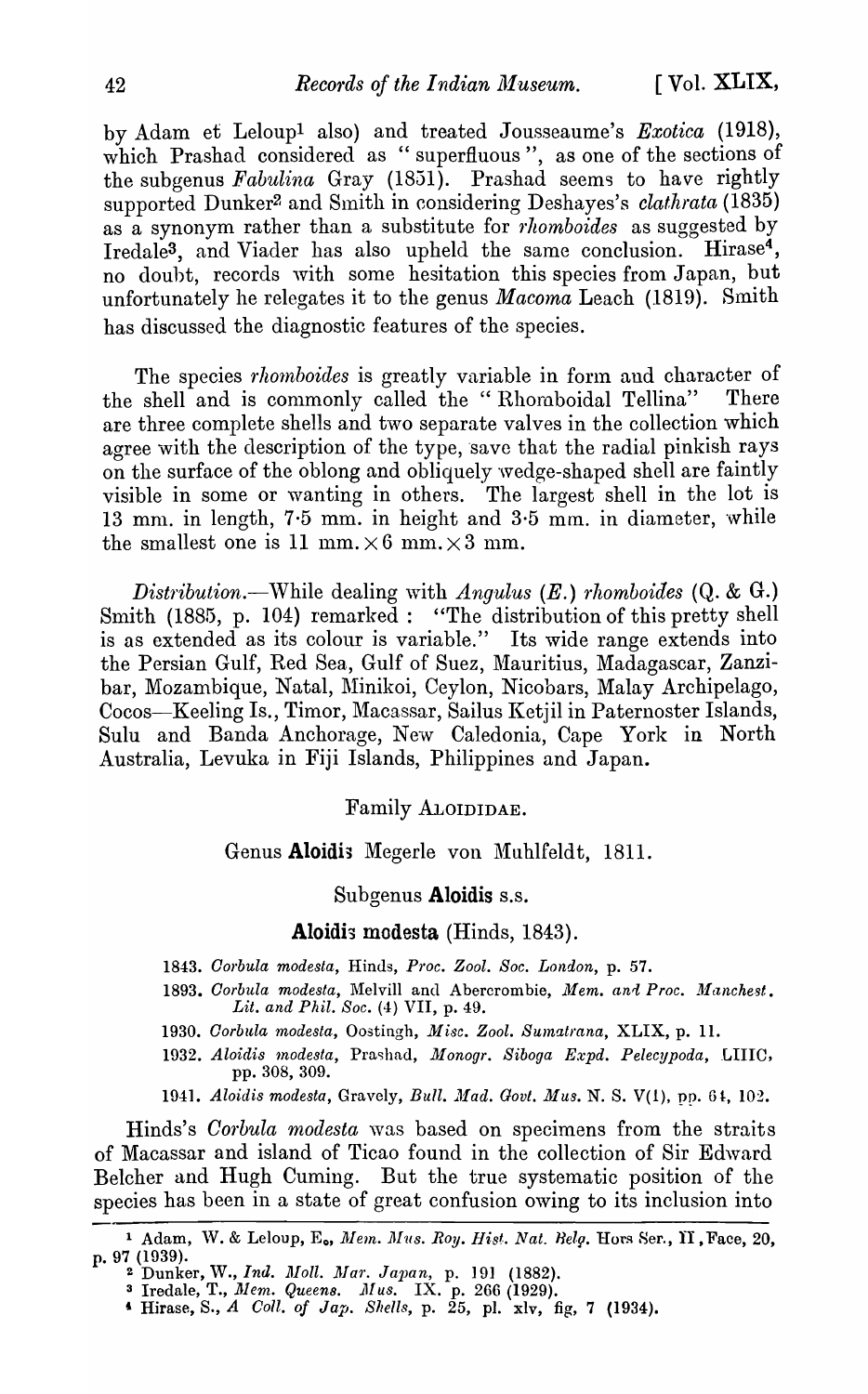by Adam et Leloupl also) and treated Jousseaume's *Exotica* (1918), which Prashad considered as "superfluous", as one of the sections of the subgenus *Fabulina* Gray (1851). Prashad seems to have rightly supported Dunker<sup>2</sup> and Smith in considering Deshayes's *clathrata* (1835) as a synonym rather than a substitute for *rhomboides* as suggested by Iredale<sup>3</sup>, and Viader has also upheld the same conclusion. Hirase<sup>4</sup>, no doubt, records with some hesitation this species from Japan, but unfortunately he relegates it to the genus *Macoma* Leach (1819). Smith has discussed the diagnostic features of the species.

The species *rhomboides* is greatly variable in form and character of the shell and is commonly called the "Rhomboidal Tellina" There are three complete shells and two separate valves in the collection which agree with the description of the type, save that the radial pinkish rays on the surface of the oblong and obliquely wedge-shaped shell are faintly visible in some or wanting in others. The largest shell in the lot is 13 mm. in length,  $7.5$  mm. in height and  $3.5$  mm. in diameter, while the smallest one is 11 mm.  $\times$  6 mm.  $\times$  3 mm.

*Distribution.*—While dealing with *Angulus (E.) rhomboides* (Q. & G.) Smith (1885, p. 104) remarked: "The distribution of this pretty shell is as extended as its colour is variable." Its wide range extends into the Persian Gulf, Red Sea, Gulf of Suez, Mauritius, Madagascar, Zanzibar, Mozambique, Natal, l\linikoi, Ceylon, Nicohars, Malay Archipelago, Cocos-Keeling Is., Timor, Macassar, Sailus Ketjil in Paternoster Islands, Sulu and Banda Anchorage, New Caledonia, Cape York in North Australia, Levuka in Fiji Islands, Philippines and Japan.

#### Family ALOIDIDAE.

## Genus Aloidis Megerle von Muhlfeldt, 1811.

### Subgenus Aloidis S.s.

# Aloidi3 modesta (Hinds, 1843).

- *1843. Oorbula modesta,* Hinas, *P1'oc. Zool. Soc. London,* p. 57.
- 1893. Corbula modesta, Melvill and Abercrombie, *Mem. and Proc. Manchest*. *Lit. and Phil. Soc.* (4) VII, p. 49.
- *1930. Oorbltla modesta,* Oostingh, *Misc. Zool. Sumatrana,* XLIX, p. 11.
- 1932. Aloidis modesta, Prashad, *Monogr. Siboga Expd. Pelecypoda*, LIIIC, pp. 308, 309.

1941. Aloidis modesta, Gravely, *Bull. Mad. Govt. Mus. N. S. V(1)*, pp. 64, 102.

Hinds's *Corbula modesta* was based on specimens from the straits of Macassar and island of Ticao found in the collection of Sir Edward Belcher and Hugh Cuming. But the true systematic position of the species has been in a state of great confusion owing to its inclusion into

<sup>&</sup>lt;sup>1</sup> Adam, W. & Leloup, E., Mem. Mus. Roy. Hist. Nat. Belg. Hors Ser., II, Face, 20, p. 97 (1939).

<sup>&</sup>lt;sup>2</sup> Dunker, W., *Ind. Moll. Mar. Japan*, p. 191 (1882).

 $3$  Iredale, T., Mem. Queens. Mus. IX. p. 266 (1929).

I Hirase, S., *A Coll. of Jap. Shells*, p.  $25$ , pl.  $x\vert y$ , fig, 7 (1934).